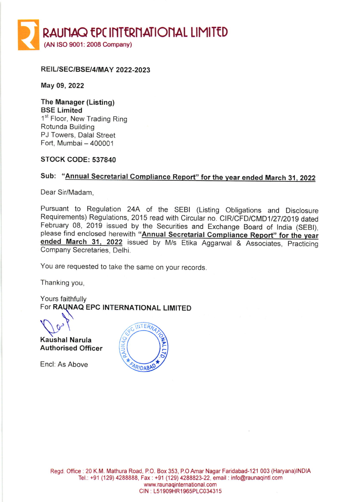

REIL/SEC/BSE/4/MAY 2022-2023

May 09,2022

The Manager (Listing) BSE Limited 1<sup>st</sup> Floor, New Trading Ring Rotunda Building PJ Towers, Dalal Street Fort, Mumbai - 400001

## STOCK CODE: 537840

# sub: "Annual secretarial compliance Report" for the vear ended March 31. 2022

Dear Sir/Madam,

Pursuant to Regulation 24A of the sEBl (Listing obligations and Disclosure Requirements) Regulations, 2015 read with Circular no. CIR/CFD/CMD1/27/2019 dated February 08, 2019 issued by the Securities and Exchange Board of India (SEBI), please find enclosed herewith "Annual Secretarial Compliance Report" for the year ended March 31, 2022 issued by M/s Etika Aggarwal & Associates, Practicing Company Secretaries, Delhi.

You are requested to take the same on your records.

Thanking you,

Yours faithfully For **RAUNAQ EPC INTERNATIONAL LIMITED** 

Vert

**Kaushal Narula** Authorised Officer

Encl: As Above

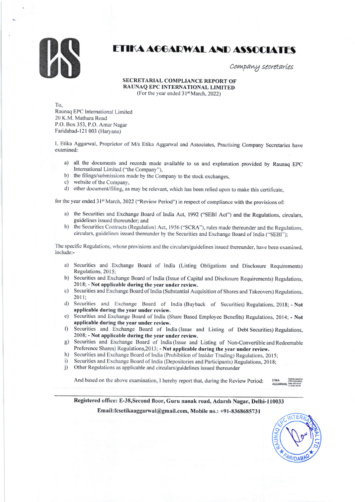

## **ETIKA AGGARWAL AND ASSOCIATES**

Company secretaries

## **SECRETARIAL COMPLIANCE REPORT OF** RAUNAQ EPC INTERNATIONAL LIMITED

(For the year ended 31<sup>st</sup> March, 2022)

To.

Raunaq EPC International Limited 20 K.M. Mathura Road P.O. Box 353, P.O. Amar Nagar Faridabad-121 003 (Haryana)

I, Etika Aggarwal, Proprietor of M/s Etika Aggarwal and Associates, Practising Company Secretaries have examined:

- a) all the documents and records made available to us and explanation provided by Raunaq EPC International Limited ("the Company"),
- b) the filings/submissions made by the Company to the stock exchanges,
- c) website of the Company,
- d) other document/filing, as may be relevant, which has been relied upon to make this certificate,

for the year ended 31<sup>st</sup> March, 2022 ("Review Period") in respect of compliance with the provisions of:

- a) the Securities and Exchange Board of India Act, 1992 ("SEBI Act") and the Regulations, circulars, guidelines issued thereunder; and
- b) the Securities Contracts (Regulation) Act, 1956 ("SCRA"), rules made thereunder and the Regulations, circulars, guidelines issued thereunder by the Securities and Exchange Board of India ("SEBI");

The specific Regulations, whose provisions and the circulars/guidelines issued thereunder, have been examined. include:-

- a) Securities and Exchange Board of India (Listing Obligations and Disclosure Requirements) Regulations, 2015;
- b) Securities and Exchange Board of India (Issue of Capital and Disclosure Requirements) Regulations, 2018; - Not applicable during the year under review.
- c) Securities and Exchange Board of India (Substantial Acquisition of Shares and Takeovers) Regulations, 2011:
- d) Securities and Exchange Board of India (Buyback of Securities) Regulations, 2018; Not applicable during the year under review.
- e) Securities and Exchange Board of India (Share Based Employee Benefits) Regulations, 2014; Not applicable during the year under review.
- $f$ Securities and Exchange Board of India (Issue and Listing of Debt Securities) Regulations, 2008; - Not applicable during the year under review.
- Securities and Exchange Board of India (Issue and Listing of Non-Convertible and Redeemable  $\mathfrak{g}$ ) Preference Shares) Regulations, 2013; - Not applicable during the year under review.
- h) Securities and Exchange Board of India (Prohibition of Insider Trading) Regulations, 2015;
- Securities and Exchange Board of India (Depositories and Participants) Regulations, 2018;  $i)$
- j) Other Regulations as applicable and circulars/guidelines issued thereunder

And based on the above examination, I hereby report that, during the Review Period:

Registered office: E-38, Second floor, Guru nanak road, Adarsh Nagar, Delhi-110033

Email:fcsetikaaggarwal@gmail.com, Mobile no.: +91-8368685731